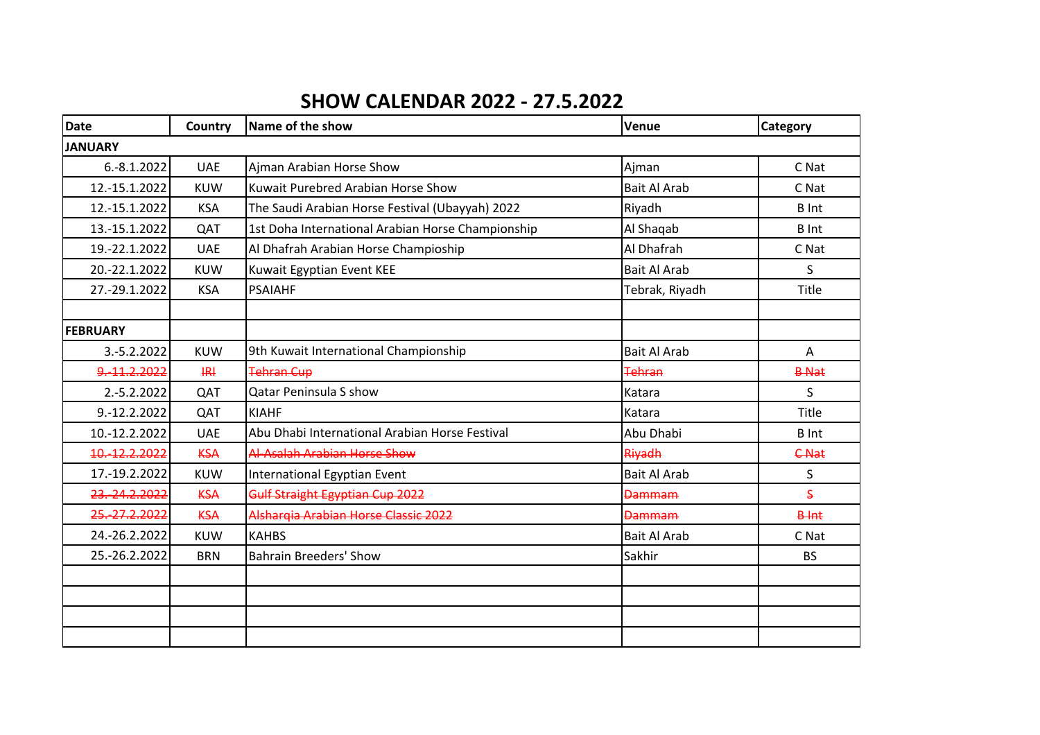## **SHOW CALENDAR 2022 - 27.5.2022**

| <b>Date</b>     | Country        | Name of the show                                  | <b>Venue</b>        | <b>Category</b> |
|-----------------|----------------|---------------------------------------------------|---------------------|-----------------|
| <b>JANUARY</b>  |                |                                                   |                     |                 |
| $6.-8.1.2022$   | <b>UAE</b>     | Ajman Arabian Horse Show                          | Ajman               | C Nat           |
| 12.-15.1.2022   | <b>KUW</b>     | Kuwait Purebred Arabian Horse Show                | <b>Bait Al Arab</b> | C Nat           |
| 12.-15.1.2022   | <b>KSA</b>     | The Saudi Arabian Horse Festival (Ubayyah) 2022   | Riyadh              | <b>B</b> Int    |
| 13.-15.1.2022   | QAT            | 1st Doha International Arabian Horse Championship | Al Shaqab           | <b>B</b> Int    |
| 19.-22.1.2022   | <b>UAE</b>     | Al Dhafrah Arabian Horse Champioship              | Al Dhafrah          | C Nat           |
| 20.-22.1.2022   | <b>KUW</b>     | Kuwait Egyptian Event KEE                         | <b>Bait Al Arab</b> | S               |
| 27.-29.1.2022   | <b>KSA</b>     | <b>PSAIAHF</b>                                    | Tebrak, Riyadh      | Title           |
|                 |                |                                                   |                     |                 |
| <b>FEBRUARY</b> |                |                                                   |                     |                 |
| 3.-5.2.2022     | <b>KUW</b>     | 9th Kuwait International Championship             | <b>Bait Al Arab</b> | A               |
| 9,-11,2,2022    | H <sub>H</sub> | <b>Tehran Cup</b>                                 | Tehran              | <b>B-Nat</b>    |
| 2.-5.2.2022     | QAT            | <b>Qatar Peninsula S show</b>                     | Katara              | S               |
| 9.-12.2.2022    | QAT            | <b>KIAHF</b>                                      | Katara              | Title           |
| 10.-12.2.2022   | <b>UAE</b>     | Abu Dhabi International Arabian Horse Festival    | Abu Dhabi           | <b>B</b> Int    |
| 10. 12.2.2022   | <b>KSA</b>     | Al-Asalah Arabian Horse Show                      | Riyadh              | <b>C-Nat</b>    |
| 17.-19.2.2022   | <b>KUW</b>     | International Egyptian Event                      | <b>Bait Al Arab</b> | S               |
| 23.-24.2.2022   | <b>KSA</b>     | Gulf Straight Egyptian Cup 2022                   | <b>Dammam</b>       | S               |
| 25.-27.2.2022   | <b>KSA</b>     | Alshargia Arabian Horse Classic 2022              | <b>Dammam</b>       | <b>B</b> -Int   |
| 24.-26.2.2022   | <b>KUW</b>     | <b>KAHBS</b>                                      | <b>Bait Al Arab</b> | C Nat           |
| 25.-26.2.2022   | <b>BRN</b>     | <b>Bahrain Breeders' Show</b>                     | Sakhir              | <b>BS</b>       |
|                 |                |                                                   |                     |                 |
|                 |                |                                                   |                     |                 |
|                 |                |                                                   |                     |                 |
|                 |                |                                                   |                     |                 |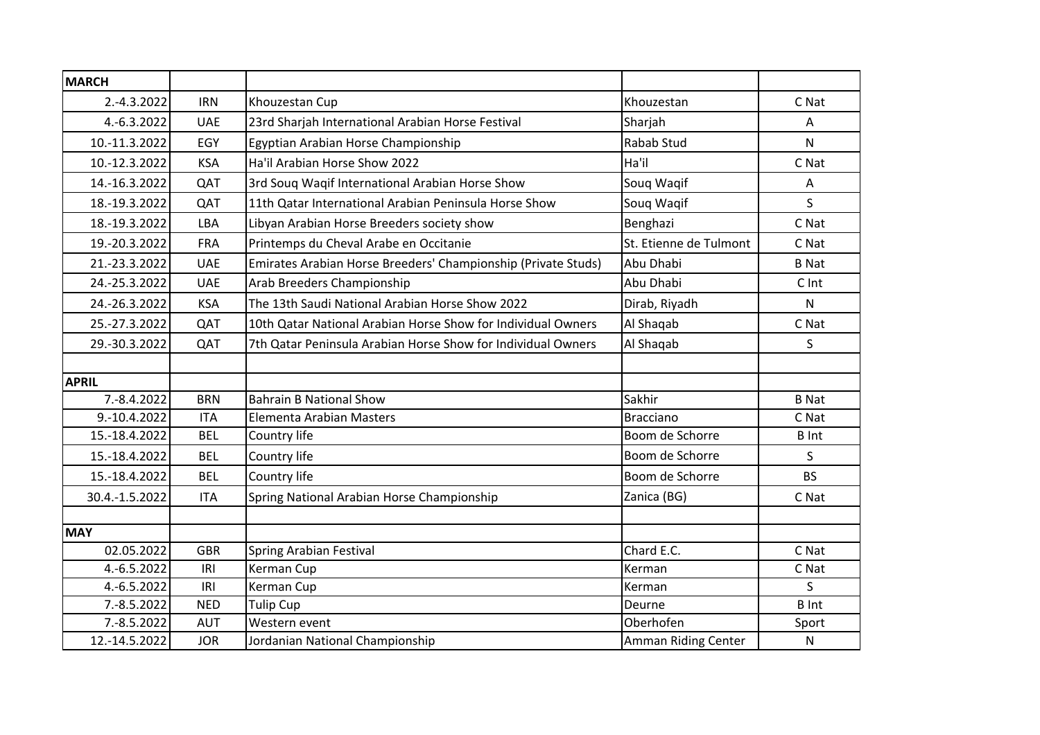| <b>MARCH</b>   |            |                                                               |                        |              |
|----------------|------------|---------------------------------------------------------------|------------------------|--------------|
| 2.-4.3.2022    | <b>IRN</b> | Khouzestan Cup                                                | Khouzestan             | C Nat        |
| 4.-6.3.2022    | <b>UAE</b> | 23rd Sharjah International Arabian Horse Festival             | Sharjah                | Α            |
| 10.-11.3.2022  | EGY        | Egyptian Arabian Horse Championship                           | <b>Rabab Stud</b>      | N            |
| 10.-12.3.2022  | <b>KSA</b> | Ha'il Arabian Horse Show 2022                                 | Ha'il                  | C Nat        |
| 14.-16.3.2022  | QAT        | 3rd Souq Waqif International Arabian Horse Show               | Soug Wagif             | Α            |
| 18.-19.3.2022  | QAT        | 11th Qatar International Arabian Peninsula Horse Show         | Soug Wagif             | S.           |
| 18.-19.3.2022  | LBA        | Libyan Arabian Horse Breeders society show                    | Benghazi               | C Nat        |
| 19.-20.3.2022  | <b>FRA</b> | Printemps du Cheval Arabe en Occitanie                        | St. Etienne de Tulmont | C Nat        |
| 21.-23.3.2022  | <b>UAE</b> | Emirates Arabian Horse Breeders' Championship (Private Studs) | Abu Dhabi              | <b>B</b> Nat |
| 24.-25.3.2022  | <b>UAE</b> | Arab Breeders Championship                                    | Abu Dhabi              | C Int        |
| 24.-26.3.2022  | <b>KSA</b> | The 13th Saudi National Arabian Horse Show 2022               | Dirab, Riyadh          | N            |
| 25.-27.3.2022  | QAT        | 10th Qatar National Arabian Horse Show for Individual Owners  | Al Shaqab              | C Nat        |
| 29.-30.3.2022  | QAT        | 7th Qatar Peninsula Arabian Horse Show for Individual Owners  | Al Shaqab              | S.           |
|                |            |                                                               |                        |              |
| <b>APRIL</b>   |            |                                                               |                        |              |
| 7.-8.4.2022    | <b>BRN</b> | <b>Bahrain B National Show</b>                                | Sakhir                 | <b>B</b> Nat |
| 9.-10.4.2022   | <b>ITA</b> | Elementa Arabian Masters                                      | <b>Bracciano</b>       | C Nat        |
| 15.-18.4.2022  | <b>BEL</b> | Country life                                                  | Boom de Schorre        | <b>B</b> Int |
| 15.-18.4.2022  | <b>BEL</b> | Country life                                                  | Boom de Schorre        | $\mathsf{S}$ |
| 15.-18.4.2022  | <b>BEL</b> | Country life                                                  | Boom de Schorre        | <b>BS</b>    |
| 30.4.-1.5.2022 | <b>ITA</b> | Spring National Arabian Horse Championship                    | Zanica (BG)            | C Nat        |
|                |            |                                                               |                        |              |
| <b>MAY</b>     |            |                                                               |                        |              |
| 02.05.2022     | <b>GBR</b> | <b>Spring Arabian Festival</b>                                | Chard E.C.             | C Nat        |
| 4.-6.5.2022    | IRI        | Kerman Cup                                                    | Kerman                 | C Nat        |
| 4.-6.5.2022    | IRI        | Kerman Cup                                                    | Kerman                 | S            |
| 7.-8.5.2022    | <b>NED</b> | <b>Tulip Cup</b>                                              | Deurne                 | <b>B</b> Int |
| 7.-8.5.2022    | <b>AUT</b> | Western event                                                 | Oberhofen              | Sport        |
| 12.-14.5.2022  | <b>JOR</b> | Jordanian National Championship                               | Amman Riding Center    | ${\sf N}$    |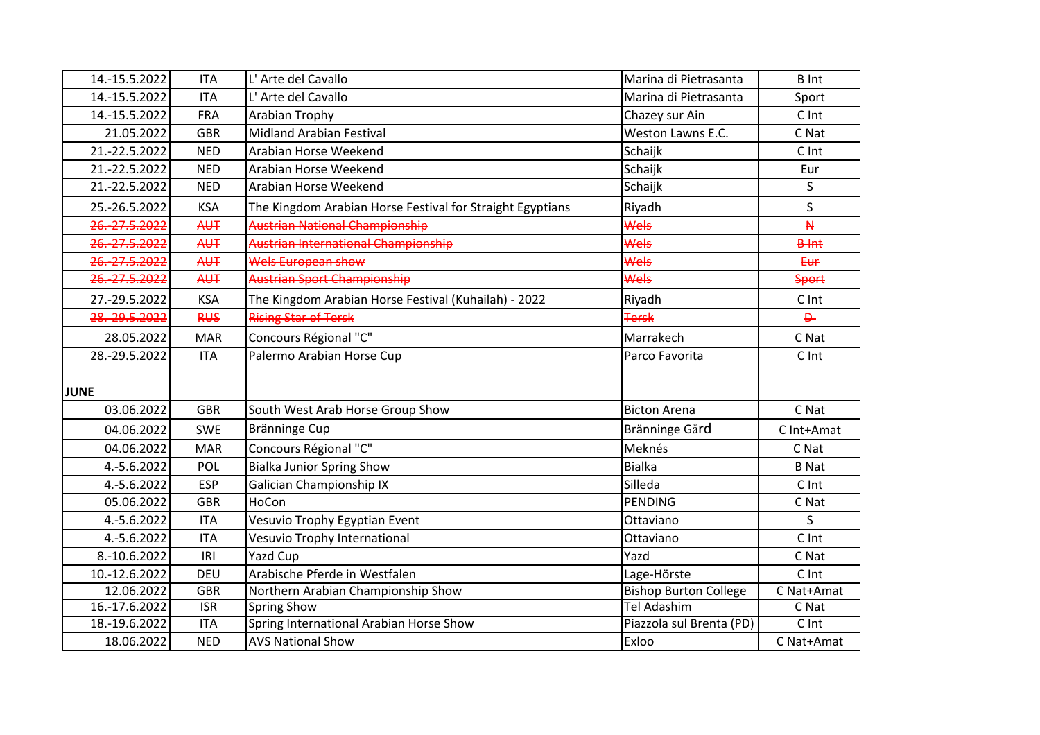| 14.-15.5.2022      | <b>ITA</b>              | L' Arte del Cavallo                                       | Marina di Pietrasanta        | <b>B</b> Int   |
|--------------------|-------------------------|-----------------------------------------------------------|------------------------------|----------------|
| 14.-15.5.2022      | <b>ITA</b>              | L' Arte del Cavallo                                       | Marina di Pietrasanta        | Sport          |
| 14.-15.5.2022      | <b>FRA</b>              | Arabian Trophy                                            | Chazey sur Ain               | C Int          |
| 21.05.2022         | <b>GBR</b>              | <b>Midland Arabian Festival</b>                           | Weston Lawns E.C.            | C Nat          |
| 21.-22.5.2022      | <b>NED</b>              | Arabian Horse Weekend                                     | Schaijk                      | C Int          |
| 21.-22.5.2022      | <b>NED</b>              | Arabian Horse Weekend                                     | Schaijk                      | Eur            |
| 21.-22.5.2022      | <b>NED</b>              | Arabian Horse Weekend                                     | Schaijk                      | S              |
| 25.-26.5.2022      | <b>KSA</b>              | The Kingdom Arabian Horse Festival for Straight Egyptians | Riyadh                       | S              |
| 26.-27.5.2022      | <b>AUT</b>              | Austrian National Championship                            | Wels                         | $\overline{M}$ |
| 26. 27.5.2022      | <b>AUT</b>              | Austrian International Championship                       | Wels                         | <b>B</b> -Int  |
| 26. 27.5.2022      | <b>AUT</b>              | Wels European show                                        | Wels                         | Eur            |
| 26.-27.5.2022      | <b>AUT</b>              | Austrian Sport Championship                               | Wels                         | <b>Sport</b>   |
| 27.-29.5.2022      | <b>KSA</b>              | The Kingdom Arabian Horse Festival (Kuhailah) - 2022      | Riyadh                       | C Int          |
| 28 .- 29 .5 . 2022 | <b>RUS</b>              | <b>Rising Star of Tersk</b>                               | <b>Tersk</b>                 | $\overline{P}$ |
| 28.05.2022         | <b>MAR</b>              | Concours Régional "C"                                     | Marrakech                    | C Nat          |
| 28.-29.5.2022      | <b>ITA</b>              | Palermo Arabian Horse Cup                                 | Parco Favorita               | C Int          |
|                    |                         |                                                           |                              |                |
| <b>JUNE</b>        |                         |                                                           |                              |                |
| 03.06.2022         | <b>GBR</b>              | South West Arab Horse Group Show                          | <b>Bicton Arena</b>          | C Nat          |
| 04.06.2022         | <b>SWE</b>              | Bränninge Cup                                             | Bränninge Gård               | C Int+Amat     |
| 04.06.2022         | <b>MAR</b>              | Concours Régional "C"                                     | Meknés                       | C Nat          |
| 4.-5.6.2022        | POL                     | <b>Bialka Junior Spring Show</b>                          | <b>Bialka</b>                | <b>B</b> Nat   |
| 4.-5.6.2022        | <b>ESP</b>              | <b>Galician Championship IX</b>                           | Silleda                      | C Int          |
| 05.06.2022         | <b>GBR</b>              | HoCon                                                     | <b>PENDING</b>               | C Nat          |
| 4.-5.6.2022        | <b>ITA</b>              | Vesuvio Trophy Egyptian Event                             | Ottaviano                    | $\mathsf{S}$   |
| 4.-5.6.2022        | <b>ITA</b>              | Vesuvio Trophy International                              | Ottaviano                    | C Int          |
| 8.-10.6.2022       | IRI                     | <b>Yazd Cup</b>                                           | Yazd                         | C Nat          |
| 10.-12.6.2022      | <b>DEU</b>              | Arabische Pferde in Westfalen                             | Lage-Hörste                  | C Int          |
| 12.06.2022         | <b>GBR</b>              | Northern Arabian Championship Show                        | <b>Bishop Burton College</b> | C Nat+Amat     |
| 16.-17.6.2022      | $\overline{\text{ISR}}$ | <b>Spring Show</b>                                        | <b>Tel Adashim</b>           | C Nat          |
| 18.-19.6.2022      | <b>ITA</b>              | Spring International Arabian Horse Show                   | Piazzola sul Brenta (PD)     | C Int          |
| 18.06.2022         | <b>NED</b>              | <b>AVS National Show</b>                                  | Exloo                        | C Nat+Amat     |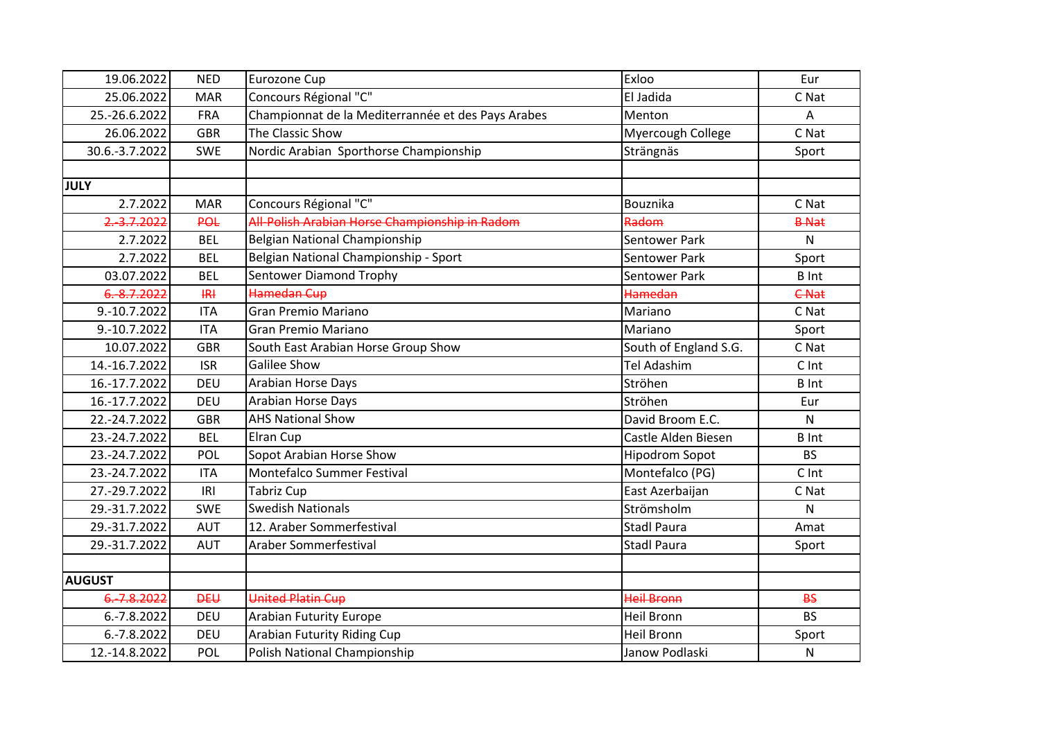| 19.06.2022     | <b>NED</b>     | Eurozone Cup                                       | Exloo                 | Eur          |
|----------------|----------------|----------------------------------------------------|-----------------------|--------------|
| 25.06.2022     | <b>MAR</b>     | Concours Régional "C"                              | El Jadida             | C Nat        |
| 25.-26.6.2022  | <b>FRA</b>     | Championnat de la Mediterrannée et des Pays Arabes | Menton                | A            |
| 26.06.2022     | <b>GBR</b>     | The Classic Show                                   | Myercough College     | C Nat        |
| 30.6.-3.7.2022 | <b>SWE</b>     | Nordic Arabian Sporthorse Championship             | Strängnäs             | Sport        |
|                |                |                                                    |                       |              |
| <b>JULY</b>    |                |                                                    |                       |              |
| 2.7.2022       | <b>MAR</b>     | Concours Régional "C"                              | Bouznika              | C Nat        |
| 2.-3.7.2022    | <b>POL</b>     | All-Polish Arabian Horse Championship in Radom     | Radom                 | <b>B-Nat</b> |
| 2.7.2022       | <b>BEL</b>     | Belgian National Championship                      | <b>Sentower Park</b>  | $\mathsf{N}$ |
| 2.7.2022       | <b>BEL</b>     | Belgian National Championship - Sport              | Sentower Park         | Sport        |
| 03.07.2022     | <b>BEL</b>     | Sentower Diamond Trophy                            | <b>Sentower Park</b>  | <b>B</b> Int |
| 6.-8.7.2022    | H <sub>H</sub> | Hamedan Cup                                        | <b>Hamedan</b>        | <b>C-Nat</b> |
| 9.-10.7.2022   | <b>ITA</b>     | <b>Gran Premio Mariano</b>                         | Mariano               | C Nat        |
| 9.-10.7.2022   | <b>ITA</b>     | <b>Gran Premio Mariano</b>                         | Mariano               | Sport        |
| 10.07.2022     | <b>GBR</b>     | South East Arabian Horse Group Show                | South of England S.G. | C Nat        |
| 14.-16.7.2022  | <b>ISR</b>     | <b>Galilee Show</b>                                | <b>Tel Adashim</b>    | C Int        |
| 16.-17.7.2022  | <b>DEU</b>     | Arabian Horse Days                                 | Ströhen               | <b>B</b> Int |
| 16.-17.7.2022  | <b>DEU</b>     | Arabian Horse Days                                 | Ströhen               | Eur          |
| 22.-24.7.2022  | <b>GBR</b>     | <b>AHS National Show</b>                           | David Broom E.C.      | $\mathsf{N}$ |
| 23.-24.7.2022  | <b>BEL</b>     | Elran Cup                                          | Castle Alden Biesen   | <b>B</b> Int |
| 23.-24.7.2022  | POL            | Sopot Arabian Horse Show                           | <b>Hipodrom Sopot</b> | <b>BS</b>    |
| 23.-24.7.2022  | <b>ITA</b>     | Montefalco Summer Festival                         | Montefalco (PG)       | C Int        |
| 27.-29.7.2022  | IRI            | <b>Tabriz Cup</b>                                  | East Azerbaijan       | C Nat        |
| 29.-31.7.2022  | <b>SWE</b>     | <b>Swedish Nationals</b>                           | Strömsholm            | N            |
| 29.-31.7.2022  | <b>AUT</b>     | 12. Araber Sommerfestival                          | <b>Stadl Paura</b>    | Amat         |
| 29.-31.7.2022  | <b>AUT</b>     | Araber Sommerfestival                              | <b>Stadl Paura</b>    | Sport        |
|                |                |                                                    |                       |              |
| <b>AUGUST</b>  |                |                                                    |                       |              |
| 6.-7.8.2022    | <b>DEU</b>     | <b>United Platin Cup</b>                           | <b>Heil Bronn</b>     | <b>BS</b>    |
| 6.-7.8.2022    | DEU            | <b>Arabian Futurity Europe</b>                     | <b>Heil Bronn</b>     | <b>BS</b>    |
| 6.-7.8.2022    | <b>DEU</b>     | Arabian Futurity Riding Cup                        | <b>Heil Bronn</b>     | Sport        |
| 12.-14.8.2022  | POL            | Polish National Championship                       | Janow Podlaski        | N            |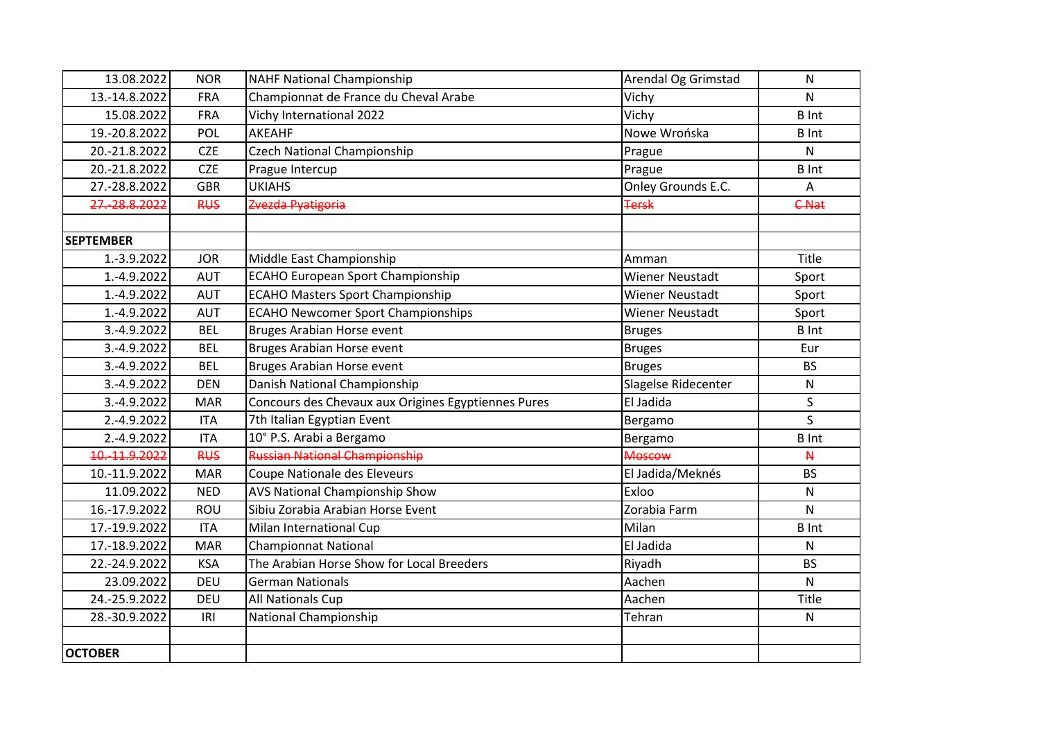| 13.08.2022         | <b>NOR</b> | <b>NAHF National Championship</b>                   | Arendal Og Grimstad    | N            |
|--------------------|------------|-----------------------------------------------------|------------------------|--------------|
| 13.-14.8.2022      | <b>FRA</b> | Championnat de France du Cheval Arabe               | Vichy                  | N            |
| 15.08.2022         | <b>FRA</b> | Vichy International 2022                            | Vichy                  | <b>B</b> Int |
| 19.-20.8.2022      | POL        | <b>AKEAHF</b>                                       | Nowe Wrońska           | <b>B</b> Int |
| 20.-21.8.2022      | <b>CZE</b> | <b>Czech National Championship</b>                  | Prague                 | Ν            |
| 20.-21.8.2022      | <b>CZE</b> | Prague Intercup                                     | Prague                 | <b>B</b> Int |
| 27.-28.8.2022      | <b>GBR</b> | <b>UKIAHS</b>                                       | Onley Grounds E.C.     | А            |
| 27.-28.8.2022      | <b>RUS</b> | Zvezda Pyatigoria                                   | <b>Tersk</b>           | <b>C-Nat</b> |
|                    |            |                                                     |                        |              |
| <b>SEPTEMBER</b>   |            |                                                     |                        |              |
| 1.-3.9.2022        | <b>JOR</b> | Middle East Championship                            | Amman                  | Title        |
| 1.-4.9.2022        | <b>AUT</b> | <b>ECAHO European Sport Championship</b>            | <b>Wiener Neustadt</b> | Sport        |
| 1.-4.9.2022        | <b>AUT</b> | <b>ECAHO Masters Sport Championship</b>             | <b>Wiener Neustadt</b> | Sport        |
| 1.-4.9.2022        | <b>AUT</b> | <b>ECAHO Newcomer Sport Championships</b>           | <b>Wiener Neustadt</b> | Sport        |
| 3.-4.9.2022        | <b>BEL</b> | Bruges Arabian Horse event                          | <b>Bruges</b>          | <b>B</b> Int |
| 3.-4.9.2022        | <b>BEL</b> | Bruges Arabian Horse event                          | <b>Bruges</b>          | Eur          |
| 3.-4.9.2022        | <b>BEL</b> | Bruges Arabian Horse event                          | <b>Bruges</b>          | <b>BS</b>    |
| 3.-4.9.2022        | <b>DEN</b> | Danish National Championship                        | Slagelse Ridecenter    | N            |
| 3.-4.9.2022        | <b>MAR</b> | Concours des Chevaux aux Origines Egyptiennes Pures | El Jadida              | S            |
| 2.-4.9.2022        | <b>ITA</b> | 7th Italian Egyptian Event                          | Bergamo                | $\mathsf{S}$ |
| 2.-4.9.2022        | <b>ITA</b> | 10° P.S. Arabi a Bergamo                            | Bergamo                | <b>B</b> Int |
| 10 .- 11 .9 . 2022 | <b>RUS</b> | <b>Russian National Championship</b>                | <b>Moscow</b>          | $\mathsf{M}$ |
| 10.-11.9.2022      | <b>MAR</b> | Coupe Nationale des Eleveurs                        | El Jadida/Meknés       | <b>BS</b>    |
| 11.09.2022         | <b>NED</b> | AVS National Championship Show                      | Exloo                  | N            |
| 16.-17.9.2022      | <b>ROU</b> | Sibiu Zorabia Arabian Horse Event                   | Zorabia Farm           | N            |
| 17.-19.9.2022      | <b>ITA</b> | Milan International Cup                             | Milan                  | <b>B</b> Int |
| 17.-18.9.2022      | <b>MAR</b> | <b>Championnat National</b>                         | El Jadida              | $\mathsf{N}$ |
| 22.-24.9.2022      | <b>KSA</b> | The Arabian Horse Show for Local Breeders           | Riyadh                 | <b>BS</b>    |
| 23.09.2022         | DEU        | <b>German Nationals</b>                             | Aachen                 | N            |
| 24.-25.9.2022      | <b>DEU</b> | <b>All Nationals Cup</b>                            | Aachen                 | Title        |
| 28.-30.9.2022      | IRI        | National Championship                               | Tehran                 | ${\sf N}$    |
|                    |            |                                                     |                        |              |
| <b>OCTOBER</b>     |            |                                                     |                        |              |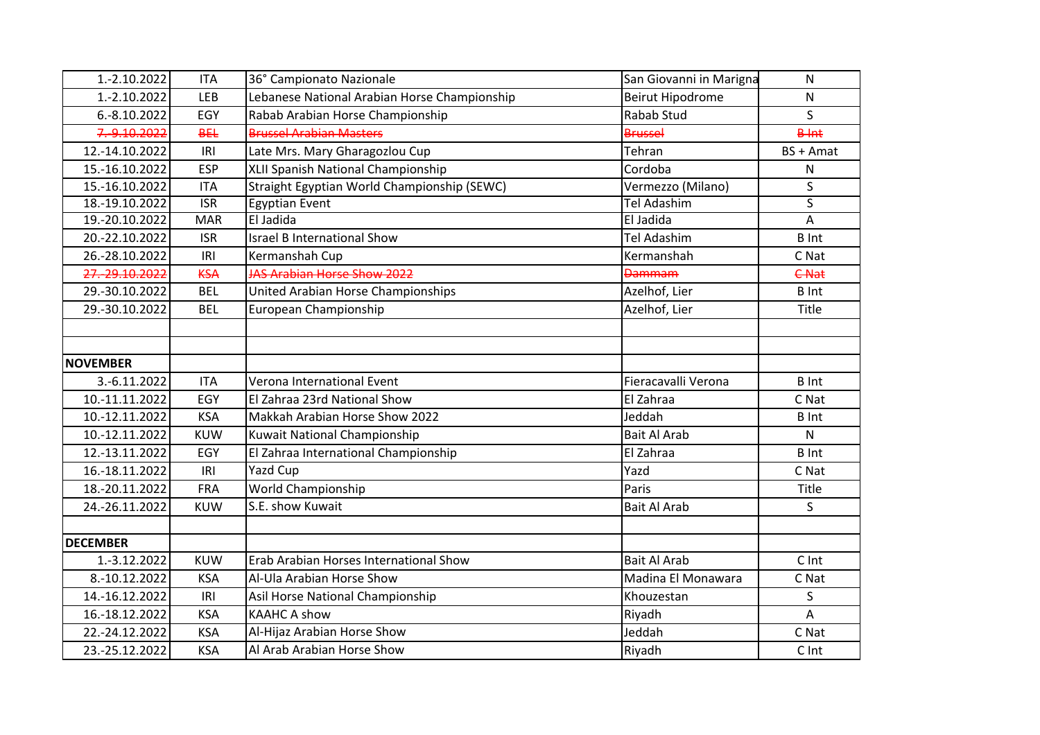| 1.-2.10.2022     | <b>ITA</b>              | 36° Campionato Nazionale                     | San Giovanni in Marigna | $\mathsf{N}$   |
|------------------|-------------------------|----------------------------------------------|-------------------------|----------------|
| 1.-2.10.2022     | <b>LEB</b>              | Lebanese National Arabian Horse Championship | <b>Beirut Hipodrome</b> | N              |
| 6.-8.10.2022     | EGY                     | Rabab Arabian Horse Championship             | Rabab Stud              | S.             |
| 7.-9.10.2022     | <b>BEL</b>              | <b>Brussel Arabian Masters</b>               | <b>Brussel</b>          | $B+nt$         |
| 12.-14.10.2022   | IRI                     | Late Mrs. Mary Gharagozlou Cup               | Tehran                  | BS + Amat      |
| 15.-16.10.2022   | <b>ESP</b>              | XLII Spanish National Championship           | Cordoba                 | ${\sf N}$      |
| 15.-16.10.2022   | <b>ITA</b>              | Straight Egyptian World Championship (SEWC)  | Vermezzo (Milano)       | S              |
| 18.-19.10.2022   | $\overline{\text{ISR}}$ | <b>Egyptian Event</b>                        | <b>Tel Adashim</b>      | S              |
| 19.-20.10.2022   | <b>MAR</b>              | El Jadida                                    | El Jadida               | $\overline{A}$ |
| 20.-22.10.2022   | <b>ISR</b>              | <b>Israel B International Show</b>           | Tel Adashim             | <b>B</b> Int   |
| 26.-28.10.2022   | IRI                     | Kermanshah Cup                               | Kermanshah              | C Nat          |
| 27 .- 29.10.2022 | <b>KSA</b>              | <b>JAS Arabian Horse Show 2022</b>           | <b>Dammam</b>           | <b>C-Nat</b>   |
| 29.-30.10.2022   | <b>BEL</b>              | United Arabian Horse Championships           | Azelhof, Lier           | <b>B</b> Int   |
| 29.-30.10.2022   | <b>BEL</b>              | European Championship                        | Azelhof, Lier           | Title          |
|                  |                         |                                              |                         |                |
|                  |                         |                                              |                         |                |
| <b>NOVEMBER</b>  |                         |                                              |                         |                |
| 3.-6.11.2022     | <b>ITA</b>              | Verona International Event                   | Fieracavalli Verona     | <b>B</b> Int   |
| 10.-11.11.2022   | EGY                     | El Zahraa 23rd National Show                 | El Zahraa               | C Nat          |
| 10.-12.11.2022   | <b>KSA</b>              | Makkah Arabian Horse Show 2022               | Jeddah                  | <b>B</b> Int   |
| 10.-12.11.2022   | <b>KUW</b>              | Kuwait National Championship                 | <b>Bait Al Arab</b>     | N              |
| 12.-13.11.2022   | EGY                     | El Zahraa International Championship         | El Zahraa               | <b>B</b> Int   |
| 16.-18.11.2022   | IRI                     | <b>Yazd Cup</b>                              | Yazd                    | C Nat          |
| 18.-20.11.2022   | <b>FRA</b>              | World Championship                           | Paris                   | Title          |
| 24.-26.11.2022   | <b>KUW</b>              | S.E. show Kuwait                             | <b>Bait Al Arab</b>     | S.             |
|                  |                         |                                              |                         |                |
| <b>DECEMBER</b>  |                         |                                              |                         |                |
| 1.-3.12.2022     | <b>KUW</b>              | Erab Arabian Horses International Show       | <b>Bait Al Arab</b>     | C Int          |
| 8.-10.12.2022    | <b>KSA</b>              | Al-Ula Arabian Horse Show                    | Madina El Monawara      | C Nat          |
| 14.-16.12.2022   | IRI                     | Asil Horse National Championship             | Khouzestan              | S              |
| 16.-18.12.2022   | <b>KSA</b>              | <b>KAAHC A show</b>                          | Riyadh                  | A              |
| 22.-24.12.2022   | <b>KSA</b>              | Al-Hijaz Arabian Horse Show                  | Jeddah                  | C Nat          |
| 23.-25.12.2022   | <b>KSA</b>              | Al Arab Arabian Horse Show                   | Riyadh                  | C Int          |